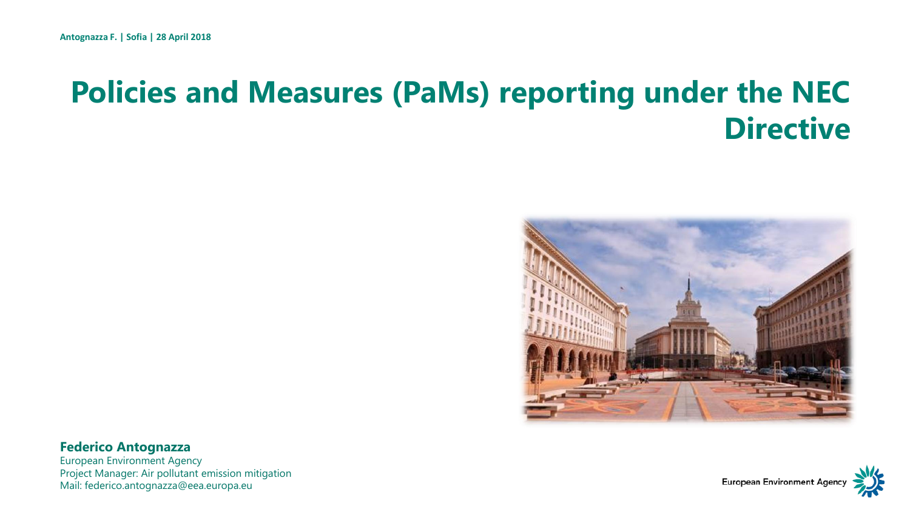### **Policies and Measures (PaMs) reporting under the NEC Directive**



#### **Federico Antognazza**

European Environment Agency Project Manager: Air pollutant emission mitigation Mail: federico.antognazza@eea.europa.eu

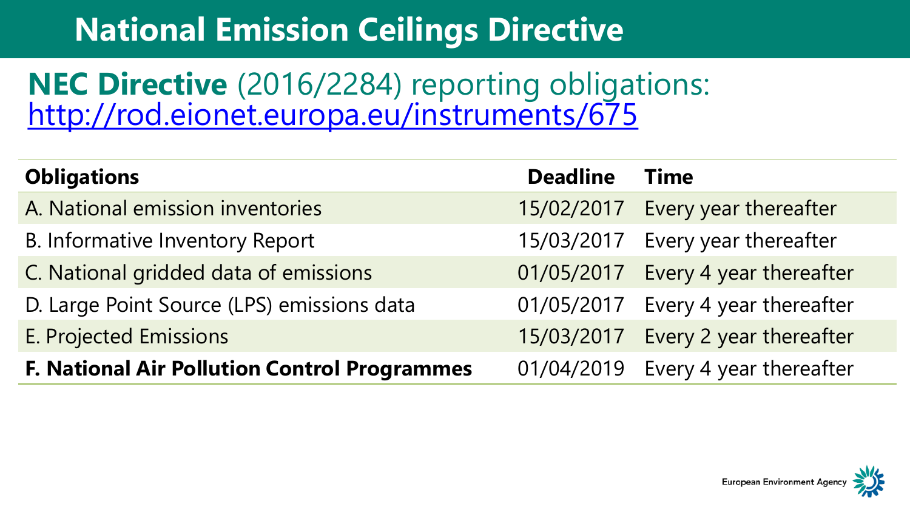## **Natio[nal Em](#page-2-0)ission Ceilings Directive**

### **NEC Directive** (2016/2284) reporting obligations: <http://rod.eionet.europa.eu/instruments/675>

| <b>Obligations</b>                                  | <b>Deadline</b> | <b>Time</b>                        |
|-----------------------------------------------------|-----------------|------------------------------------|
| A. National emission inventories                    | 15/02/2017      | Every year thereafter              |
| <b>B. Informative Inventory Report</b>              | 15/03/2017      | Every year thereafter              |
| C. National gridded data of emissions               |                 | 01/05/2017 Every 4 year thereafter |
| D. Large Point Source (LPS) emissions data          | 01/05/2017      | Every 4 year thereafter            |
| E. Projected Emissions                              | 15/03/2017      | Every 2 year thereafter            |
| <b>F. National Air Pollution Control Programmes</b> |                 | 01/04/2019 Every 4 year thereafter |

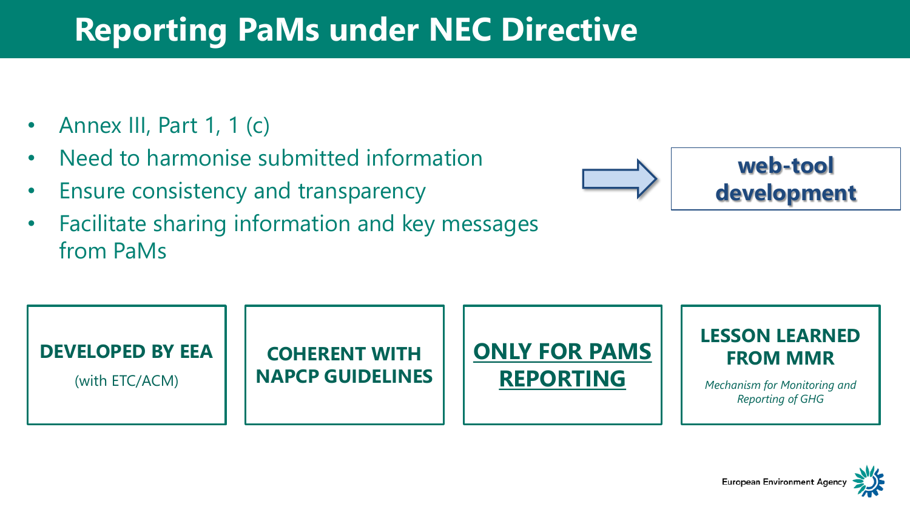### <span id="page-2-0"></span>**Repor[ting P](#page-2-0)aMs under NEC Directive**

- Annex III, Part 1, 1 (c)
- Need to harmonise submitted information
- Ensure consistency and transparency
- Facilitate sharing information and key messages from PaMs





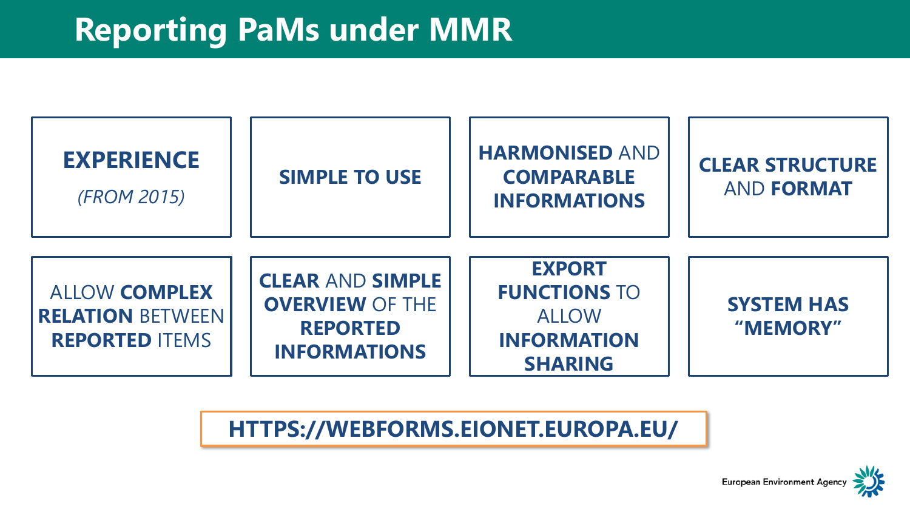

### HTTPS://WEBFORMS.EIONET.EUROPA.EU/

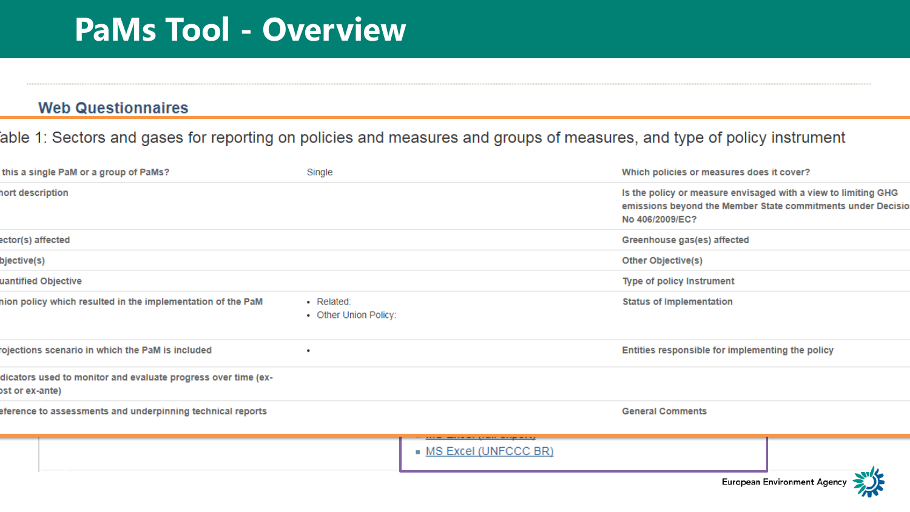### **PaMs Tool - Overview**

#### **Web Questionnaires**

### able 1: Sectors and gases for reporting on policies and measures and groups of measures, and type of policy instrument

| this a single PaM or a group of PaMs?                                           | Single                              |                                                                         | Which policies or measures does it cover?                                                                                                        |     |
|---------------------------------------------------------------------------------|-------------------------------------|-------------------------------------------------------------------------|--------------------------------------------------------------------------------------------------------------------------------------------------|-----|
| ort description                                                                 |                                     |                                                                         | Is the policy or measure envisaged with a view to limiting GHG<br>emissions beyond the Member State commitments under Decisio<br>No 406/2009/EC? |     |
| ctor(s) affected                                                                |                                     |                                                                         | Greenhouse gas(es) affected                                                                                                                      |     |
| )jective(s)                                                                     |                                     |                                                                         | Other Objective(s)                                                                                                                               |     |
| antified Objective                                                              |                                     |                                                                         | Type of policy Instrument                                                                                                                        |     |
| ion policy which resulted in the implementation of the PaM                      | · Related:<br>• Other Union Policy: |                                                                         | <b>Status of Implementation</b>                                                                                                                  |     |
| ojections scenario in which the PaM is included                                 |                                     |                                                                         | Entities responsible for implementing the policy                                                                                                 |     |
| licators used to monitor and evaluate progress over time (ex-<br>st or ex-ante) |                                     |                                                                         |                                                                                                                                                  |     |
| ference to assessments and underpinning technical reports                       |                                     |                                                                         | <b>General Comments</b>                                                                                                                          |     |
|                                                                                 |                                     | <b>CELSIC SHORN WAS LIFE WITH WEIGHT WELL</b><br>• MS Excel (UNFCCC BR) |                                                                                                                                                  | . . |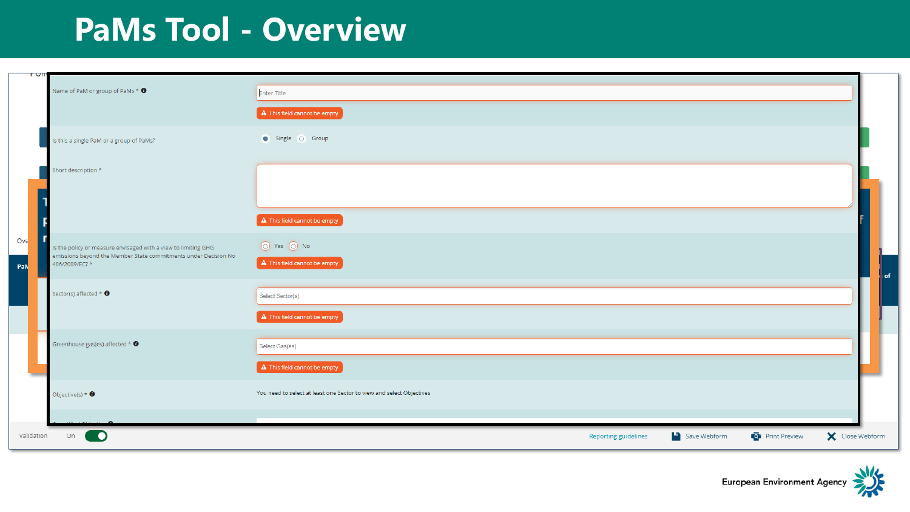### **PaMs [Tool -](#page-2-0) Overview**

| त्रणा      |                                                                                                                                                    |                                                                                                                                                        |                      |                                                                             |                        |                 |    |
|------------|----------------------------------------------------------------------------------------------------------------------------------------------------|--------------------------------------------------------------------------------------------------------------------------------------------------------|----------------------|-----------------------------------------------------------------------------|------------------------|-----------------|----|
|            | Name of PaM or group of PaMs $*$ 0                                                                                                                 | Enter Title                                                                                                                                            |                      |                                                                             |                        |                 |    |
|            |                                                                                                                                                    | $\left[ \begin{array}{cc} \textbf{A} & \text{This field cannot be empty} \end{array} \right]$                                                          |                      |                                                                             |                        |                 |    |
|            | Is this a single PaM or a group of PaMs?                                                                                                           | $\bullet$ Single $\circ$ Group                                                                                                                         |                      |                                                                             |                        |                 |    |
|            | Short description *                                                                                                                                |                                                                                                                                                        |                      |                                                                             |                        |                 |    |
|            |                                                                                                                                                    | $\left[ \begin{array}{cc} \textbf{A} & \text{This field cannot be empty} \end{array} \right]$                                                          |                      |                                                                             |                        |                 |    |
| Ove<br>PaN | Is the policy or measure envisaged with a view to limiting GHG<br>emissions beyond the Member State commitments under Decision No<br>406/2009/EC?* | ⊙ Yes ⊙ No<br>$\left[ \begin{array}{ccc} \mathbf{A} & \mathsf{This}\ \mathsf{field}\ \mathsf{cannot}\ \mathsf{be}\ \mathsf{empty} \end{array} \right]$ |                      |                                                                             |                        |                 |    |
|            | Sector(s) affected $*$ $\bullet$                                                                                                                   | Select Sector(s)                                                                                                                                       |                      |                                                                             |                        |                 | of |
|            |                                                                                                                                                    | $\Delta$ This field cannot be empty                                                                                                                    |                      |                                                                             |                        |                 |    |
|            | Greenhouse gas(es) affected $*$ $\bullet$                                                                                                          | Select Gas(es)<br>$\left[ \begin{array}{cc} \textbf{A} & \text{This field cannot be empty} \end{array} \right]$                                        |                      |                                                                             |                        |                 |    |
|            | Objective(s) $*$ $\bullet$                                                                                                                         | You need to select at least one Sector to view and select Objectives                                                                                   |                      |                                                                             |                        |                 |    |
| Validation | On<br><b>D</b>                                                                                                                                     |                                                                                                                                                        | Reporting guidelines | $\begin{bmatrix} \cdot & \cdot \\ \cdot & \cdot \end{bmatrix}$ Save Webform | <b>Q</b> Print Preview | X Close Webform |    |

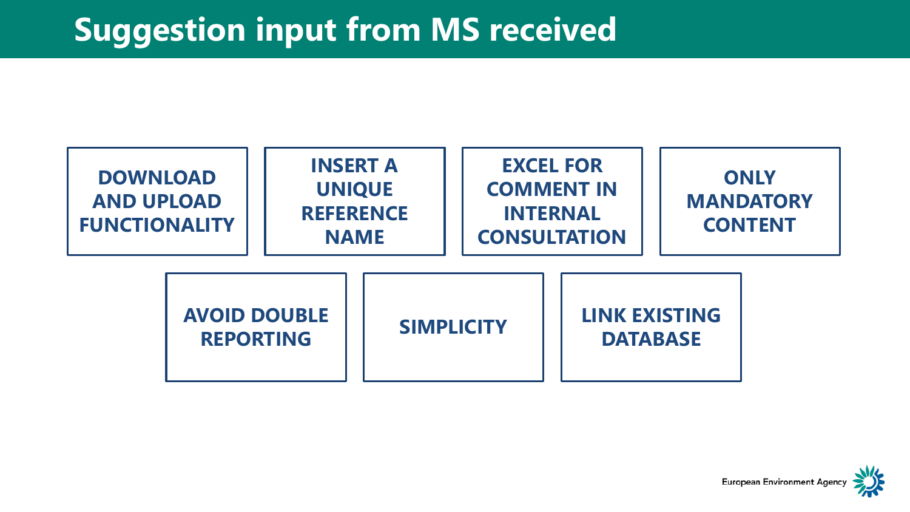### **Sugge[stion](#page-2-0) input from MS received**



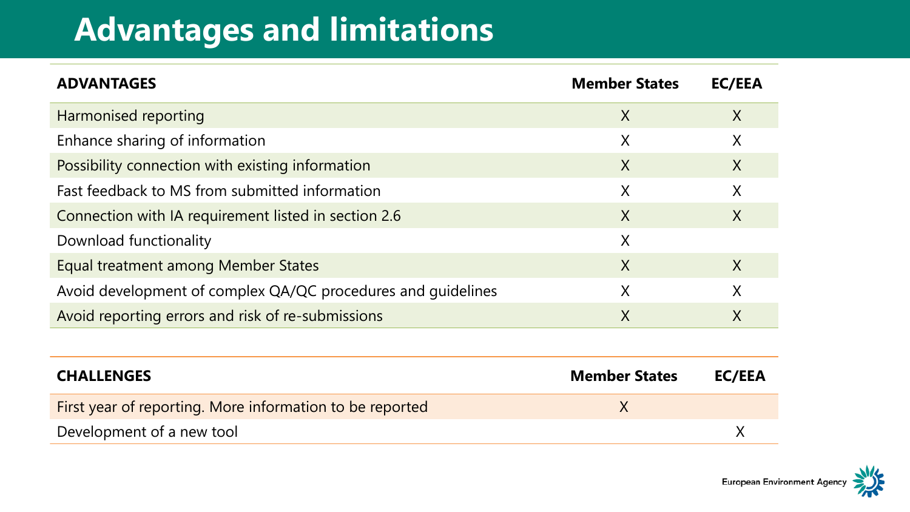### **Advan[tages](#page-2-0) and limitations**

| <b>ADVANTAGES</b>                                            | <b>Member States</b> | <b>EC/EEA</b>           |
|--------------------------------------------------------------|----------------------|-------------------------|
| Harmonised reporting                                         | X                    | $\overline{\mathsf{X}}$ |
| Enhance sharing of information                               | X                    | X                       |
| Possibility connection with existing information             | $\chi$               | $\chi$                  |
| Fast feedback to MS from submitted information               | X                    | $\chi$                  |
| Connection with IA requirement listed in section 2.6         | $\chi$               | $\sf X$                 |
| Download functionality                                       | X                    |                         |
| Equal treatment among Member States                          | X                    | X                       |
| Avoid development of complex QA/QC procedures and quidelines | X                    | $\sf X$                 |
| Avoid reporting errors and risk of re-submissions            | X                    | X                       |

| <b>CHALLENGES</b>                                        | <b>Member States</b> | EC/EEA |
|----------------------------------------------------------|----------------------|--------|
| First year of reporting. More information to be reported |                      |        |
| Development of a new tool                                |                      |        |

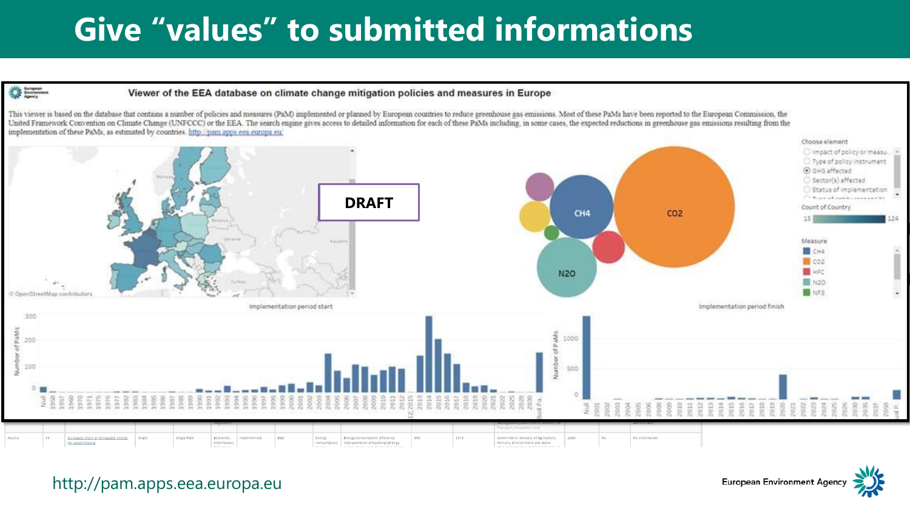### **Give "[value](#page-2-0)s" to submitted informations**



This viewer is based on the database that contains a number of policies and measures (PaM) implemented or planned by European countries to reduce greenhouse gas emissions. Most of these PaMs have been reported to the Europ United Framework Convention on Climate Change (UNFCCC) or the EEA. The search engine gives access to detailed information for each of these PaMs including, in some cases, the expected reductions in greenhouse gas emissions implementation of these PaMs, as estimated by countries. http://pam.apps.eea.europa.eu/



European Environment Agency

http://pam.apps.eea.europa.eu

拳用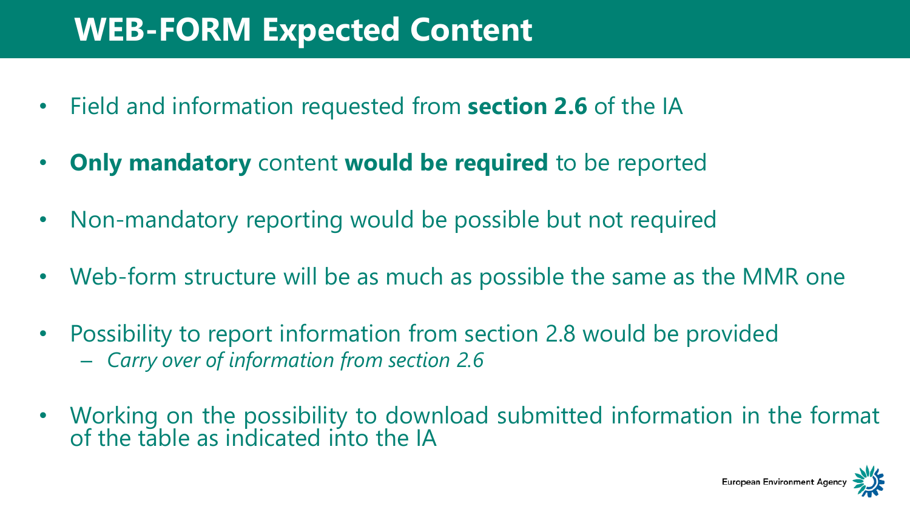### **WEB-F[ORM](#page-2-0) Expected Content**

- Field and information requested from **section 2.6** of the IA
- **Only mandatory** content **would be required** to be reported
- Non-mandatory reporting would be possible but not required
- Web-form structure will be as much as possible the same as the MMR one
- Possibility to report information from section 2.8 would be provided – *Carry over of information from section 2.6*
- Working on the possibility to download submitted information in the format of the table as indicated into the IA

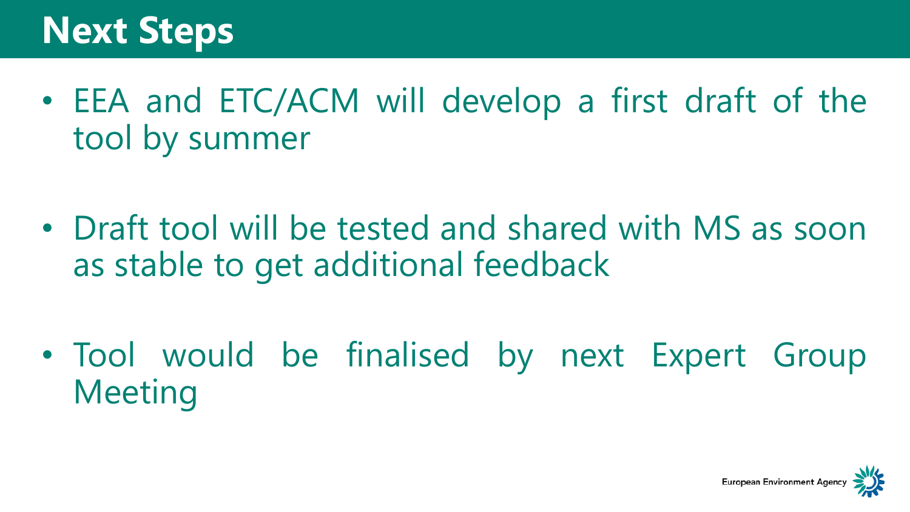# **Next St[eps](#page-2-0)**

- EEA and ETC/ACM will develop a first draft of the tool by summer
- Draft tool will be tested and shared with MS as soon as stable to get additional feedback

• Tool would be finalised by next Expert Group Meeting